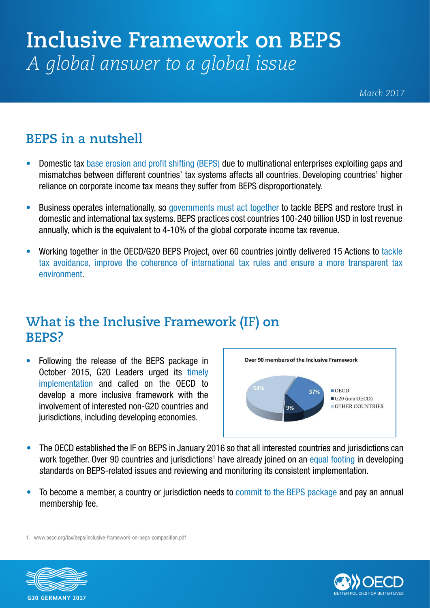# **Inclusive Framework on BEPS** *A global answer to a global issue*

*March 2017*

### **BEPS in a nutshell**

- Domestic tax base erosion and profit shifting (BEPS) due to multinational enterprises exploiting gaps and mismatches between different countries' tax systems affects all countries. Developing countries' higher reliance on corporate income tax means they suffer from BEPS disproportionately.
- Business operates internationally, so governments must act together to tackle BEPS and restore trust in domestic and international tax systems. BEPS practices cost countries 100-240 billion USD in lost revenue annually, which is the equivalent to 4-10% of the global corporate income tax revenue.
- Working together in the OECD/G20 BEPS Project, over 60 countries jointly delivered 15 Actions to tackle tax avoidance, improve the coherence of international tax rules and ensure a more transparent tax environment.

#### **What is the Inclusive Framework (IF) on BEPS?**

• Following the release of the BEPS package in October 2015, G20 Leaders urged its timely implementation and called on the OECD to develop a more inclusive framework with the involvement of interested non-G20 countries and jurisdictions, including developing economies.



- The OECD established the IF on BEPS in January 2016 so that all interested countries and jurisdictions can work together. Over 90 countries and jurisdictions<sup>1</sup> have already joined on an equal footing in developing standards on BEPS-related issues and reviewing and monitoring its consistent implementation.
- To become a member, a country or jurisdiction needs to commit to the BEPS package and pay an annual membership fee.

<sup>1.</sup> www.oecd.org/tax/beps/inclusive-framework-on-beps-composition.pdf